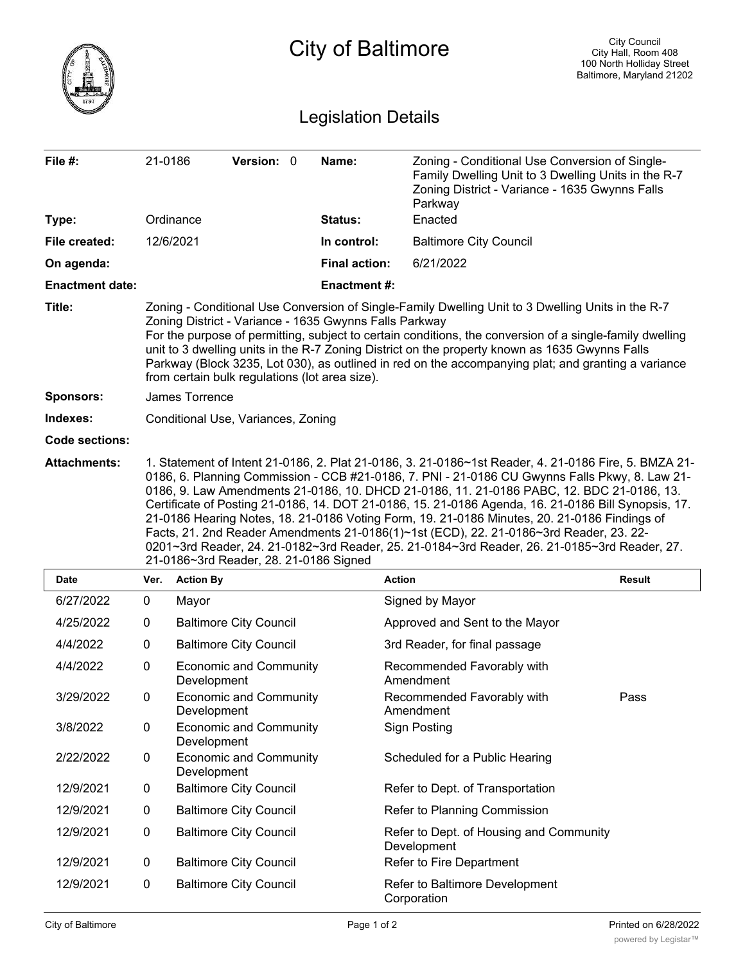|                            |                                                                                                                                                                                                                                                                                                                                                                                                                                                                                                                                                                                                                                                                                                                                                |                                              | City of Baltimore    |                                                                                                                                                                    | <b>City Council</b><br>City Hall, Room 408<br>100 North Holliday Street<br>Baltimore, Maryland 21202 |  |
|----------------------------|------------------------------------------------------------------------------------------------------------------------------------------------------------------------------------------------------------------------------------------------------------------------------------------------------------------------------------------------------------------------------------------------------------------------------------------------------------------------------------------------------------------------------------------------------------------------------------------------------------------------------------------------------------------------------------------------------------------------------------------------|----------------------------------------------|----------------------|--------------------------------------------------------------------------------------------------------------------------------------------------------------------|------------------------------------------------------------------------------------------------------|--|
| <b>Legislation Details</b> |                                                                                                                                                                                                                                                                                                                                                                                                                                                                                                                                                                                                                                                                                                                                                |                                              |                      |                                                                                                                                                                    |                                                                                                      |  |
| File #:                    | 21-0186                                                                                                                                                                                                                                                                                                                                                                                                                                                                                                                                                                                                                                                                                                                                        | Version: 0                                   | Name:                | Zoning - Conditional Use Conversion of Single-<br>Family Dwelling Unit to 3 Dwelling Units in the R-7<br>Zoning District - Variance - 1635 Gwynns Falls<br>Parkway |                                                                                                      |  |
| Type:                      |                                                                                                                                                                                                                                                                                                                                                                                                                                                                                                                                                                                                                                                                                                                                                | Ordinance                                    | Status:              | Enacted                                                                                                                                                            |                                                                                                      |  |
| File created:              |                                                                                                                                                                                                                                                                                                                                                                                                                                                                                                                                                                                                                                                                                                                                                | 12/6/2021                                    | In control:          | <b>Baltimore City Council</b>                                                                                                                                      |                                                                                                      |  |
| On agenda:                 |                                                                                                                                                                                                                                                                                                                                                                                                                                                                                                                                                                                                                                                                                                                                                |                                              | <b>Final action:</b> | 6/21/2022                                                                                                                                                          |                                                                                                      |  |
| <b>Enactment date:</b>     |                                                                                                                                                                                                                                                                                                                                                                                                                                                                                                                                                                                                                                                                                                                                                |                                              | <b>Enactment#:</b>   |                                                                                                                                                                    |                                                                                                      |  |
| Title:                     | Zoning - Conditional Use Conversion of Single-Family Dwelling Unit to 3 Dwelling Units in the R-7<br>Zoning District - Variance - 1635 Gwynns Falls Parkway<br>For the purpose of permitting, subject to certain conditions, the conversion of a single-family dwelling<br>unit to 3 dwelling units in the R-7 Zoning District on the property known as 1635 Gwynns Falls<br>Parkway (Block 3235, Lot 030), as outlined in red on the accompanying plat; and granting a variance<br>from certain bulk regulations (lot area size).                                                                                                                                                                                                             |                                              |                      |                                                                                                                                                                    |                                                                                                      |  |
| <b>Sponsors:</b>           |                                                                                                                                                                                                                                                                                                                                                                                                                                                                                                                                                                                                                                                                                                                                                | James Torrence                               |                      |                                                                                                                                                                    |                                                                                                      |  |
| Indexes:                   | Conditional Use, Variances, Zoning                                                                                                                                                                                                                                                                                                                                                                                                                                                                                                                                                                                                                                                                                                             |                                              |                      |                                                                                                                                                                    |                                                                                                      |  |
| <b>Code sections:</b>      |                                                                                                                                                                                                                                                                                                                                                                                                                                                                                                                                                                                                                                                                                                                                                |                                              |                      |                                                                                                                                                                    |                                                                                                      |  |
| <b>Attachments:</b>        | 1. Statement of Intent 21-0186, 2. Plat 21-0186, 3. 21-0186~1st Reader, 4. 21-0186 Fire, 5. BMZA 21-<br>0186, 6. Planning Commission - CCB #21-0186, 7. PNI - 21-0186 CU Gwynns Falls Pkwy, 8. Law 21-<br>0186, 9. Law Amendments 21-0186, 10. DHCD 21-0186, 11. 21-0186 PABC, 12. BDC 21-0186, 13.<br>Certificate of Posting 21-0186, 14. DOT 21-0186, 15. 21-0186 Agenda, 16. 21-0186 Bill Synopsis, 17.<br>21-0186 Hearing Notes, 18. 21-0186 Voting Form, 19. 21-0186 Minutes, 20. 21-0186 Findings of<br>Facts, 21. 2nd Reader Amendments 21-0186(1)~1st (ECD), 22. 21-0186~3rd Reader, 23. 22-<br>0201~3rd Reader, 24. 21-0182~3rd Reader, 25. 21-0184~3rd Reader, 26. 21-0185~3rd Reader, 27.<br>21-0186~3rd Reader, 28. 21-0186 Signed |                                              |                      |                                                                                                                                                                    |                                                                                                      |  |
| Date                       | Ver.                                                                                                                                                                                                                                                                                                                                                                                                                                                                                                                                                                                                                                                                                                                                           | <b>Action By</b>                             |                      | Action                                                                                                                                                             | Result                                                                                               |  |
| 6/27/2022                  | 0                                                                                                                                                                                                                                                                                                                                                                                                                                                                                                                                                                                                                                                                                                                                              | Mayor                                        |                      | Signed by Mayor                                                                                                                                                    |                                                                                                      |  |
| 4/25/2022                  | 0                                                                                                                                                                                                                                                                                                                                                                                                                                                                                                                                                                                                                                                                                                                                              | <b>Baltimore City Council</b>                |                      | Approved and Sent to the Mayor                                                                                                                                     |                                                                                                      |  |
| 4/4/2022                   | 0                                                                                                                                                                                                                                                                                                                                                                                                                                                                                                                                                                                                                                                                                                                                              | <b>Baltimore City Council</b>                |                      | 3rd Reader, for final passage                                                                                                                                      |                                                                                                      |  |
| 4/4/2022                   | 0                                                                                                                                                                                                                                                                                                                                                                                                                                                                                                                                                                                                                                                                                                                                              | <b>Economic and Community</b><br>Development |                      | Recommended Favorably with<br>Amendment                                                                                                                            |                                                                                                      |  |
| 3/29/2022                  | 0                                                                                                                                                                                                                                                                                                                                                                                                                                                                                                                                                                                                                                                                                                                                              | <b>Economic and Community</b><br>Development |                      | Recommended Favorably with<br>Amendment                                                                                                                            | Pass                                                                                                 |  |
| 3/8/2022                   | 0                                                                                                                                                                                                                                                                                                                                                                                                                                                                                                                                                                                                                                                                                                                                              | <b>Economic and Community</b><br>Development |                      | <b>Sign Posting</b>                                                                                                                                                |                                                                                                      |  |
| 2/22/2022                  | 0                                                                                                                                                                                                                                                                                                                                                                                                                                                                                                                                                                                                                                                                                                                                              | <b>Economic and Community</b><br>Development |                      | Scheduled for a Public Hearing                                                                                                                                     |                                                                                                      |  |
| 12/9/2021                  | 0                                                                                                                                                                                                                                                                                                                                                                                                                                                                                                                                                                                                                                                                                                                                              | <b>Baltimore City Council</b>                |                      | Refer to Dept. of Transportation                                                                                                                                   |                                                                                                      |  |
| 12/9/2021                  | 0                                                                                                                                                                                                                                                                                                                                                                                                                                                                                                                                                                                                                                                                                                                                              | <b>Baltimore City Council</b>                |                      | Refer to Planning Commission                                                                                                                                       |                                                                                                      |  |
| 12/9/2021                  | 0                                                                                                                                                                                                                                                                                                                                                                                                                                                                                                                                                                                                                                                                                                                                              | <b>Baltimore City Council</b>                |                      | Refer to Dept. of Housing and Community<br>Development                                                                                                             |                                                                                                      |  |
| 12/9/2021                  | 0                                                                                                                                                                                                                                                                                                                                                                                                                                                                                                                                                                                                                                                                                                                                              | <b>Baltimore City Council</b>                |                      | Refer to Fire Department                                                                                                                                           |                                                                                                      |  |
| 12/9/2021                  | 0                                                                                                                                                                                                                                                                                                                                                                                                                                                                                                                                                                                                                                                                                                                                              | <b>Baltimore City Council</b>                |                      | Refer to Baltimore Development<br>Corporation                                                                                                                      |                                                                                                      |  |
| City of Baltimore          |                                                                                                                                                                                                                                                                                                                                                                                                                                                                                                                                                                                                                                                                                                                                                |                                              | Page 1 of 2          |                                                                                                                                                                    | Printed on 6/28/2022                                                                                 |  |